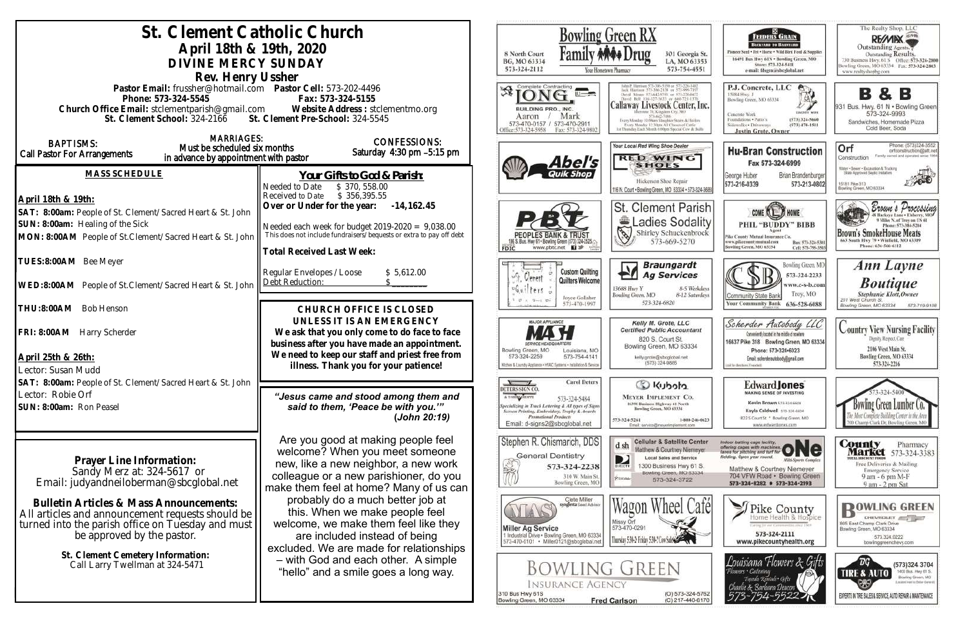| St. Clement Catholic Church<br>April 18th & 19th, 2020<br>DIVINE MERCY SUNDAY<br>Rev. Henry Ussher                                                                                                                                                                                                                                                                     | Bowling Green RX<br>8 North Court<br>ramiiy <b>AM</b><br>301 Georgia St.<br>LA, MO 63353<br>BG, MO 63334<br>573-324-2112<br>573-754-4551<br>four Hometown Pharmacy                                                                                                                                                                                                                                                                                                        |                                                                                                                                                                                                                                                                                                                                                                                 |                                                                                                                                                                                                                                                                                                                                                        |
|------------------------------------------------------------------------------------------------------------------------------------------------------------------------------------------------------------------------------------------------------------------------------------------------------------------------------------------------------------------------|---------------------------------------------------------------------------------------------------------------------------------------------------------------------------------------------------------------------------------------------------------------------------------------------------------------------------------------------------------------------------------------------------------------------------------------------------------------------------|---------------------------------------------------------------------------------------------------------------------------------------------------------------------------------------------------------------------------------------------------------------------------------------------------------------------------------------------------------------------------------|--------------------------------------------------------------------------------------------------------------------------------------------------------------------------------------------------------------------------------------------------------------------------------------------------------------------------------------------------------|
| Pastor Email: frussher@hotmail.com    Pastor Cell: 573-202-4496<br>Phone: 573-324-5545<br>Church Office Email: stclementparish@gmail.com<br>St. Clement School: 324-2166 St. Clement Pre-School: 324-5545                                                                                                                                                              | Fax: 573-324-5155<br>Website Address: stclementmo.org                                                                                                                                                                                                                                                                                                                                                                                                                     | Complete Contracting<br>BUILDING PRO., INC.<br>Mark<br>Aaron<br>573-470-0157 / 573-470-2911<br>Office:573-324-5958<br>Fax: 573-324-9802                                                                                                                                                                                                                                         | Callaway Livestock Center, Inc.<br>Every Menday 10:00am Stagpher Steers & Heilen<br>Every Monday 12:30nts All Classes of Cattle<br>14 Thursday Each Month 6:00pm Special Cow & But                                                                                                                                                                     |
| <b>MARRIAGES:</b><br><b>BAPTISMS:</b><br>Must be scheduled six months<br><b>Call Pastor For Arrangements</b><br>in advance by appointment with pastor                                                                                                                                                                                                                  | <b>CONFESSIONS:</b><br>Saturday $4:30$ pm $-5:15$ pm                                                                                                                                                                                                                                                                                                                                                                                                                      | Abel's                                                                                                                                                                                                                                                                                                                                                                          | Your Local Red Wing Shoe Dealer<br><b>RED WING</b><br><b>SHOES</b>                                                                                                                                                                                                                                                                                     |
| <b>MASS SCHEDULE</b><br>April 18th & 19th:<br>SAT: 8:00am: People of St. Clement/Sacred Heart & St. John<br>SUN: 8:00am: Healing of the Sick<br>MON: 8:00AM People of St. Clement/Sacred Heart & St. John                                                                                                                                                              | Your Gifts to God & Parish:<br>Needed to Date<br>\$370,558.00<br>\$356,395.55<br>Received to Date<br>Over or Under for the year:<br>$-14, 162.45$<br>Needed each week for budget $2019-2020 = 9,038.00$<br>This does not include fundraisers/bequests or extra to pay off debt                                                                                                                                                                                            | <b>Quik Shop</b><br>www.pbtc.net <b>H</b>                                                                                                                                                                                                                                                                                                                                       | Hickerson Shoe Repair<br>116 N. Court . Bowling Green, MO 63334 . 573-324-368<br><b>St. Clement Parish</b><br>Ladies Sodality<br>$\mathscr{D}$<br>Shirley Schuckenbrock<br>573-669-5270                                                                                                                                                                |
| TUES:8:00AM Bee Meyer<br>WED:8:00AM People of St.Clement/Sacred Heart & St. John                                                                                                                                                                                                                                                                                       | <b>Total Received Last Week:</b><br>Regular Envelopes / Loose<br>\$5,612.00<br>Debt Reduction:                                                                                                                                                                                                                                                                                                                                                                            | <b>Custom Quilting</b><br>oft, Clement<br>Quilters Welcome<br>oGuilters a<br>Joyce Gollaher                                                                                                                                                                                                                                                                                     | <b>Braungardt</b><br>FΠ<br><b>Ag Services</b><br>13688 Hwy Y<br>8-5 Weekdays<br>8-12 Saturdays<br>Bowling Green, MO                                                                                                                                                                                                                                    |
| THU:8:00AM Bob Henson<br>FRI: 8:00AM Harry Scherder<br>April 25th & 26th:<br>Lector: Susan Mudd                                                                                                                                                                                                                                                                        | CHURCH OFFICE IS CLOSED<br>UNLESS IT IS AN EMERGENCY<br>We ask that you only come to do face to face<br>business after you have made an appointment.<br>We need to keep our staff and priest free from<br>illness. Thank you for your patience!                                                                                                                                                                                                                           | 573-470-1997<br><b>MAJOR APPLIANCE</b><br>Bowling Green, MO<br>Louisiana, MO<br>573-324-2259<br>573-754-4141<br>Kitchen & Laundry Appliance . HVAC Systems . Installation & Senice                                                                                                                                                                                              | 573-324-6820<br>Kelly M. Grote, LLC<br><b>Certified Public Accountant</b><br>820 S. Court St.<br>Bowling Green, MO 63334<br>kelly.grote@sbcglobal.net<br>(573) 324-9885                                                                                                                                                                                |
| SAT: 8:00am: People of St. Clement/Sacred Heart & St. John<br>Lector: Robie Orf<br>SUN: 8:00am: Ron Peasel                                                                                                                                                                                                                                                             | "Jesus came and stood among them and<br>said to them, 'Peace be with you.""<br>(John 20:19)                                                                                                                                                                                                                                                                                                                                                                               | <b>Carol Deters</b><br>DETERS SIGN CO<br>A T-SHIRT SHOPPE<br>573-324-5484<br>pecializing in Truck Lettering & All types of Signs<br>Screen Printing, Embroidery, Trophy & Awards<br>Promotional Products<br>Email: d-signs2@sbcglobal.net                                                                                                                                       | Colcotuy Co<br><b>MEYER IMPLEMENT CO.</b><br>16398 Business Highway 61 North<br>Bowling Green, MO 63334<br>573-324-5261<br>1-800-246-0623<br>Email: service@meyerimplement.com                                                                                                                                                                         |
| Prayer Line Information:<br>Sandy Merz at: 324-5617 or<br>Email: judyandneiloberman@sbcglobal.net<br><b>Bulletin Articles &amp; Mass Announcements:</b><br>All articles and announcement requests should be<br>turned into the parish office on Tuesday and must<br>be approved by the pastor.<br>St. Clement Cemetery Information:<br>Call Larry Twellman at 324-5471 | Are you good at making people feel<br>welcome? When you meet someone<br>new, like a new neighbor, a new work<br>colleague or a new parishioner, do you<br>make them feel at home? Many of us can<br>probably do a much better job at<br>this. When we make people feel<br>welcome, we make them feel like they<br>are included instead of being<br>excluded. We are made for relationships<br>- with God and each other. A simple<br>"hello" and a smile goes a long way. | Stephen R. Chismarich, DDS<br><b>General Dentistry</b><br>573-324-2238<br>310 W. Main St.<br>Bowling Green, MO<br>Clete Miller<br>syngenta Seed Advisor<br><b>Miller Ag Service</b><br>1 Industrial Drive . Bowling Green, MO 63334<br>573-470-0101 · Miller0121@sbcglobal.net<br><b>BOWLING GREEN</b><br><b>INSURANCE AGENCY</b><br>310 Bus Hwy 61S<br>Bowling Green, MO 63334 | <b>Cellular &amp; Satellite Center</b><br>d sh<br>Matthew & Courtney Niemeyer<br><b>Local Sales and Service</b><br>D<br>1300 Business Hwy 61 S.<br>DIRECTV<br>Bowling Green, MO 63334<br>RUIGNE<br>573-324-3722<br>Missy Orf<br>573-470-0291<br>Thursday 5:34-2 Friday 5:34-2 Cow Sales<br>(O) 573-324-5762<br><b>Fred Carlson</b><br>(C) 217-440-6170 |